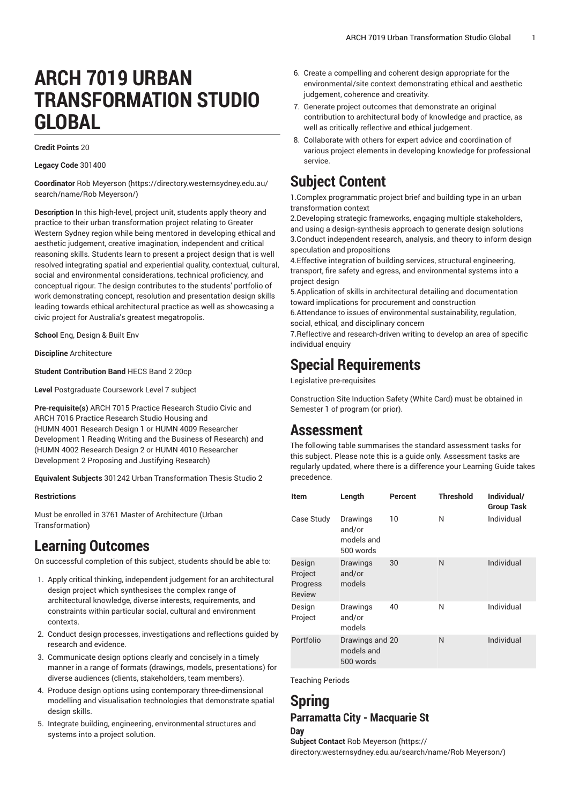# **ARCH 7019 URBAN TRANSFORMATION STUDIO GLOBAL**

#### **Credit Points** 20

**Legacy Code** 301400

**Coordinator** Rob [Meyerson](https://directory.westernsydney.edu.au/search/name/Rob Meyerson/) ([https://directory.westernsydney.edu.au/](https://directory.westernsydney.edu.au/search/name/Rob Meyerson/) [search/name/Rob](https://directory.westernsydney.edu.au/search/name/Rob Meyerson/) Meyerson/)

**Description** In this high-level, project unit, students apply theory and practice to their urban transformation project relating to Greater Western Sydney region while being mentored in developing ethical and aesthetic judgement, creative imagination, independent and critical reasoning skills. Students learn to present a project design that is well resolved integrating spatial and experiential quality, contextual, cultural, social and environmental considerations, technical proficiency, and conceptual rigour. The design contributes to the students' portfolio of work demonstrating concept, resolution and presentation design skills leading towards ethical architectural practice as well as showcasing a civic project for Australia's greatest megatropolis.

**School** Eng, Design & Built Env

**Discipline** Architecture

**Student Contribution Band** HECS Band 2 20cp

**Level** Postgraduate Coursework Level 7 subject

**Pre-requisite(s)** [ARCH 7015](/search/?P=ARCH%207015) Practice Research Studio Civic and [ARCH 7016](/search/?P=ARCH%207016) Practice Research Studio Housing and ([HUMN 4001](/search/?P=HUMN%204001) Research Design 1 or HUMN 4009 Researcher Development 1 Reading Writing and the Business of Research) and ([HUMN 4002](/search/?P=HUMN%204002) Research Design 2 or HUMN 4010 Researcher Development 2 Proposing and Justifying Research)

**Equivalent Subjects** 301242 Urban Transformation Thesis Studio 2

#### **Restrictions**

Must be enrolled in 3761 Master of Architecture (Urban Transformation)

### **Learning Outcomes**

On successful completion of this subject, students should be able to:

- 1. Apply critical thinking, independent judgement for an architectural design project which synthesises the complex range of architectural knowledge, diverse interests, requirements, and constraints within particular social, cultural and environment contexts.
- 2. Conduct design processes, investigations and reflections guided by research and evidence.
- 3. Communicate design options clearly and concisely in a timely manner in a range of formats (drawings, models, presentations) for diverse audiences (clients, stakeholders, team members).
- 4. Produce design options using contemporary three-dimensional modelling and visualisation technologies that demonstrate spatial design skills.
- 5. Integrate building, engineering, environmental structures and systems into a project solution.
- 6. Create a compelling and coherent design appropriate for the environmental/site context demonstrating ethical and aesthetic judgement, coherence and creativity.
- 7. Generate project outcomes that demonstrate an original contribution to architectural body of knowledge and practice, as well as critically reflective and ethical judgement.
- 8. Collaborate with others for expert advice and coordination of various project elements in developing knowledge for professional service.

# **Subject Content**

1.Complex programmatic project brief and building type in an urban transformation context

2.Developing strategic frameworks, engaging multiple stakeholders, and using a design-synthesis approach to generate design solutions 3.Conduct independent research, analysis, and theory to inform design speculation and propositions

4.Effective integration of building services, structural engineering, transport, fire safety and egress, and environmental systems into a project design

5.Application of skills in architectural detailing and documentation toward implications for procurement and construction

6.Attendance to issues of environmental sustainability, regulation, social, ethical, and disciplinary concern

7.Reflective and research-driven writing to develop an area of specific individual enquiry

## **Special Requirements**

Legislative pre-requisites

Construction Site Induction Safety (White Card) must be obtained in Semester 1 of program (or prior).

### **Assessment**

The following table summarises the standard assessment tasks for this subject. Please note this is a guide only. Assessment tasks are regularly updated, where there is a difference your Learning Guide takes precedence.

| <b>Item</b>                                    | Length                                        | Percent | <b>Threshold</b> | Individual/<br><b>Group Task</b> |
|------------------------------------------------|-----------------------------------------------|---------|------------------|----------------------------------|
| Case Study                                     | Drawings<br>and/or<br>models and<br>500 words | 10      | N                | Individual                       |
| Design<br>Project<br>Progress<br><b>Review</b> | Drawings<br>and/or<br>models                  | 30      | N                | Individual                       |
| Design<br>Project                              | Drawings<br>and/or<br>models                  | 40      | N                | Individual                       |
| Portfolio                                      | Drawings and 20<br>models and<br>500 words    |         | N                | Individual                       |

Teaching Periods

#### **Spring Parramatta City - Macquarie St**

#### **Day**

**Subject Contact** Rob [Meyerson](https://directory.westernsydney.edu.au/search/name/Rob Meyerson/) [\(https://](https://directory.westernsydney.edu.au/search/name/Rob Meyerson/) [directory.westernsydney.edu.au/search/name/Rob](https://directory.westernsydney.edu.au/search/name/Rob Meyerson/) Meyerson/)